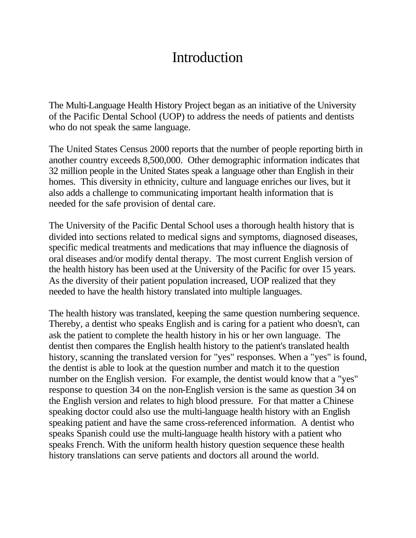## **Introduction**

The Multi-Language Health History Project began as an initiative of the University of the Pacific Dental School (UOP) to address the needs of patients and dentists who do not speak the same language.

The United States Census 2000 reports that the number of people reporting birth in another country exceeds 8,500,000. Other demographic information indicates that 32 million people in the United States speak a language other than English in their homes. This diversity in ethnicity, culture and language enriches our lives, but it also adds a challenge to communicating important health information that is needed for the safe provision of dental care.

The University of the Pacific Dental School uses a thorough health history that is divided into sections related to medical signs and symptoms, diagnosed diseases, specific medical treatments and medications that may influence the diagnosis of oral diseases and/or modify dental therapy. The most current English version of the health history has been used at the University of the Pacific for over 15 years. As the diversity of their patient population increased, UOP realized that they needed to have the health history translated into multiple languages.

The health history was translated, keeping the same question numbering sequence. Thereby, a dentist who speaks English and is caring for a patient who doesn't, can ask the patient to complete the health history in his or her own language. The dentist then compares the English health history to the patient's translated health history, scanning the translated version for "yes" responses. When a "yes" is found, the dentist is able to look at the question number and match it to the question number on the English version. For example, the dentist would know that a "yes" response to question 34 on the non-English version is the same as question 34 on the English version and relates to high blood pressure. For that matter a Chinese speaking doctor could also use the multi-language health history with an English speaking patient and have the same cross-referenced information. A dentist who speaks Spanish could use the multi-language health history with a patient who speaks French. With the uniform health history question sequence these health history translations can serve patients and doctors all around the world.